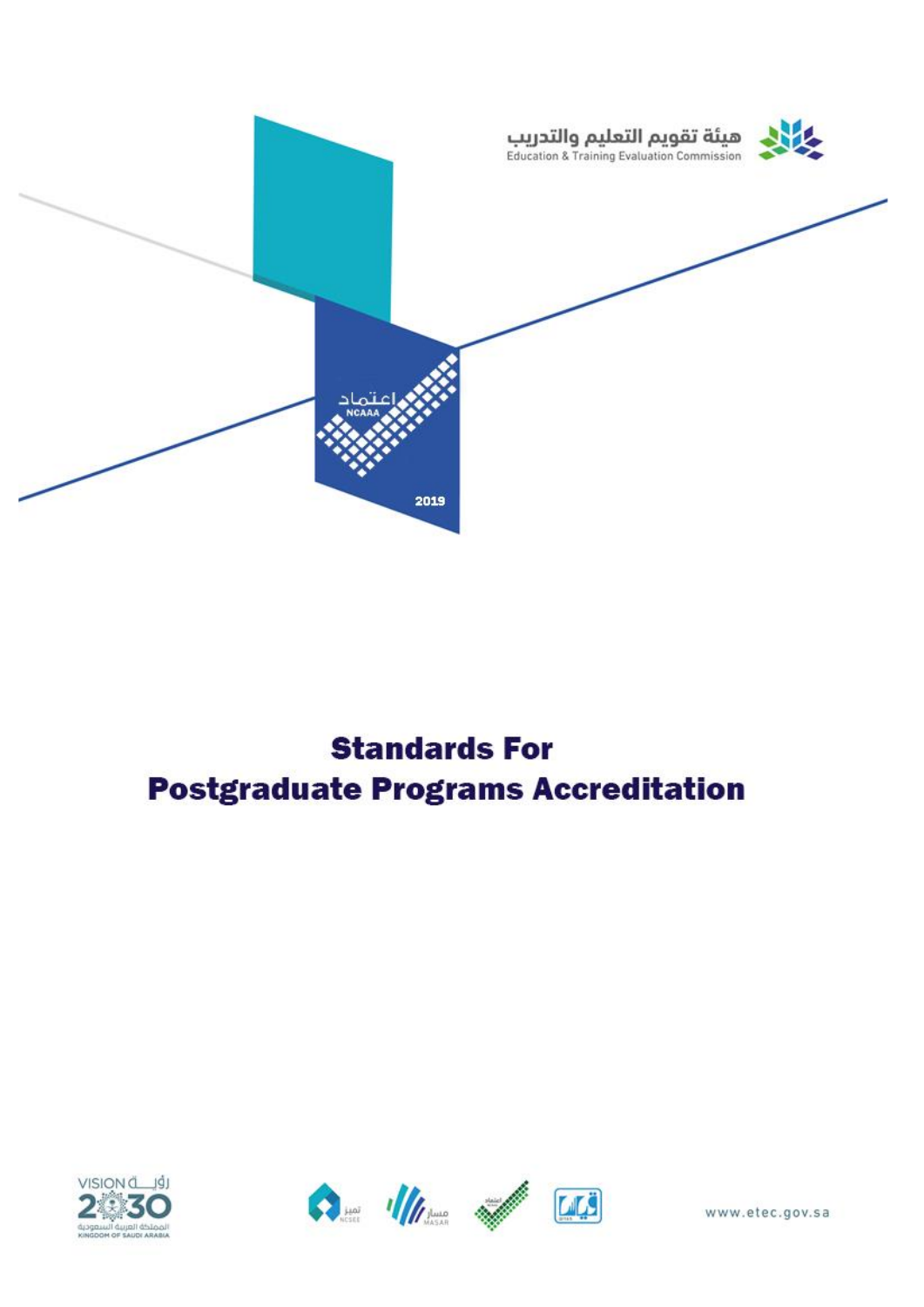

## **Standards For Postgraduate Programs Accreditation**





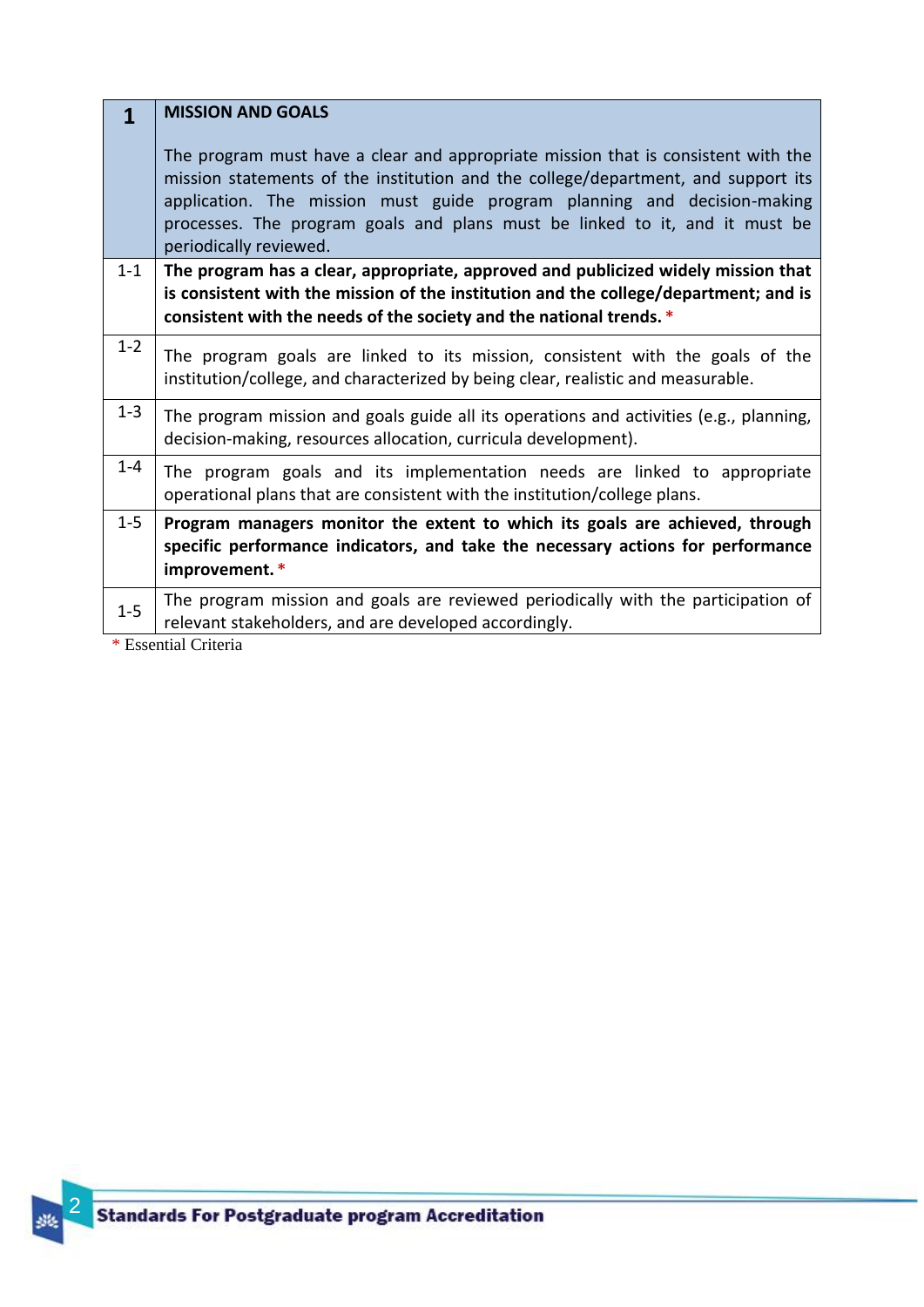## **MISSION AND GOALS 1**

The program must have a clear and appropriate mission that is consistent with the mission statements of the institution and the college/department, and support its application. The mission must guide program planning and decision-making processes. The program goals and plans must be linked to it, and it must be periodically reviewed.

**The program has a clear, appropriate, approved and publicized widely mission that is consistent with the mission of the institution and the college/department; and is consistent with the needs of the society and the national trends. \*** 1-1

|  |  |  |  | $1-2$ The program goals are linked to its mission, consistent with the goals of the |  |  |  |
|--|--|--|--|-------------------------------------------------------------------------------------|--|--|--|
|  |  |  |  | institution/college, and characterized by being clear, realistic and measurable.    |  |  |  |

| $1-3$ The program mission and goals guide all its operations and activities (e.g., planning, |
|----------------------------------------------------------------------------------------------|
| decision-making, resources allocation, curricula development).                               |

## The program goals and its implementation needs are linked to appropriate operational plans that are consistent with the institution/college plans. 1-4

**Program managers monitor the extent to which its goals are achieved, through specific performance indicators, and take the necessary actions for performance improvement. \*** 1-5

The program mission and goals are reviewed periodically with the participation of 1-5 relevant stakeholders, and are developed accordingly.

\* Essential Criteria

2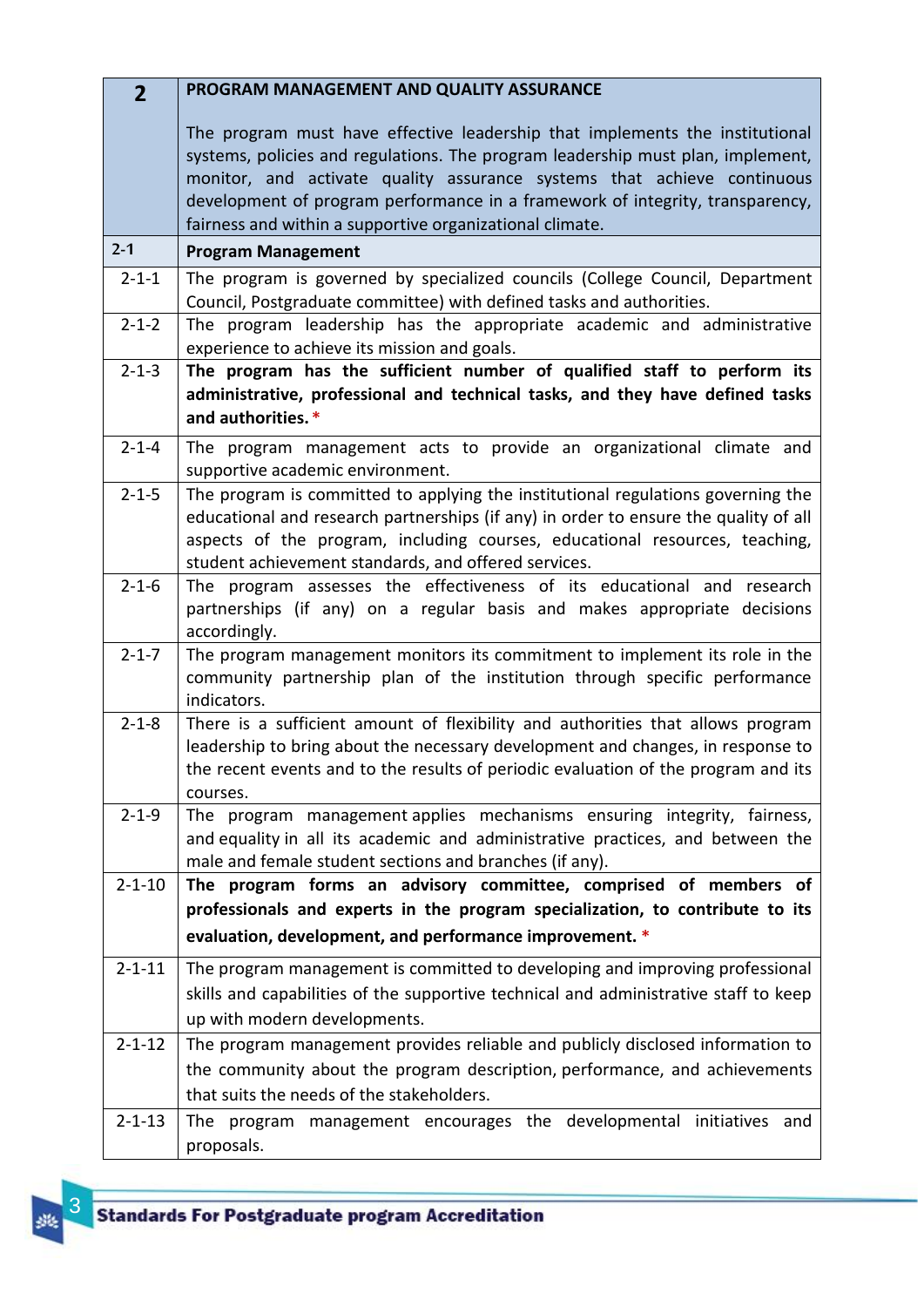| $\overline{2}$ | PROGRAM MANAGEMENT AND QUALITY ASSURANCE                                                                                                                                                                                                                                                                                                                                                |
|----------------|-----------------------------------------------------------------------------------------------------------------------------------------------------------------------------------------------------------------------------------------------------------------------------------------------------------------------------------------------------------------------------------------|
|                | The program must have effective leadership that implements the institutional<br>systems, policies and regulations. The program leadership must plan, implement,<br>monitor, and activate quality assurance systems that achieve continuous<br>development of program performance in a framework of integrity, transparency,<br>fairness and within a supportive organizational climate. |
| $2 - 1$        | <b>Program Management</b>                                                                                                                                                                                                                                                                                                                                                               |
| $2 - 1 - 1$    | The program is governed by specialized councils (College Council, Department<br>Council, Postgraduate committee) with defined tasks and authorities.                                                                                                                                                                                                                                    |
| $2 - 1 - 2$    | The program leadership has the appropriate academic and administrative<br>experience to achieve its mission and goals.                                                                                                                                                                                                                                                                  |
| $2 - 1 - 3$    | The program has the sufficient number of qualified staff to perform its<br>administrative, professional and technical tasks, and they have defined tasks<br>and authorities. *                                                                                                                                                                                                          |
| $2 - 1 - 4$    | The program management acts to provide an organizational climate and<br>supportive academic environment.                                                                                                                                                                                                                                                                                |
| $2 - 1 - 5$    | The program is committed to applying the institutional regulations governing the<br>educational and research partnerships (if any) in order to ensure the quality of all<br>aspects of the program, including courses, educational resources, teaching,<br>student achievement standards, and offered services.                                                                         |
| $2 - 1 - 6$    | The program assesses the effectiveness of its educational and<br>research<br>partnerships (if any) on a regular basis and makes appropriate decisions<br>accordingly.                                                                                                                                                                                                                   |
| $2 - 1 - 7$    | The program management monitors its commitment to implement its role in the<br>community partnership plan of the institution through specific performance<br>indicators.                                                                                                                                                                                                                |
| $2 - 1 - 8$    | There is a sufficient amount of flexibility and authorities that allows program<br>leadership to bring about the necessary development and changes, in response to<br>the recent events and to the results of periodic evaluation of the program and its<br>courses.                                                                                                                    |
| $2 - 1 - 9$    | The program management applies mechanisms ensuring integrity, fairness,<br>and equality in all its academic and administrative practices, and between the<br>male and female student sections and branches (if any).                                                                                                                                                                    |
| $2 - 1 - 10$   | The program forms an advisory committee, comprised of members of                                                                                                                                                                                                                                                                                                                        |
|                | professionals and experts in the program specialization, to contribute to its                                                                                                                                                                                                                                                                                                           |
|                | evaluation, development, and performance improvement. *                                                                                                                                                                                                                                                                                                                                 |
| $2 - 1 - 11$   | The program management is committed to developing and improving professional                                                                                                                                                                                                                                                                                                            |
|                | skills and capabilities of the supportive technical and administrative staff to keep<br>up with modern developments.                                                                                                                                                                                                                                                                    |
| $2 - 1 - 12$   | The program management provides reliable and publicly disclosed information to                                                                                                                                                                                                                                                                                                          |
|                | the community about the program description, performance, and achievements                                                                                                                                                                                                                                                                                                              |
|                | that suits the needs of the stakeholders.                                                                                                                                                                                                                                                                                                                                               |
| $2 - 1 - 13$   | The program management encourages the developmental initiatives and<br>proposals.                                                                                                                                                                                                                                                                                                       |

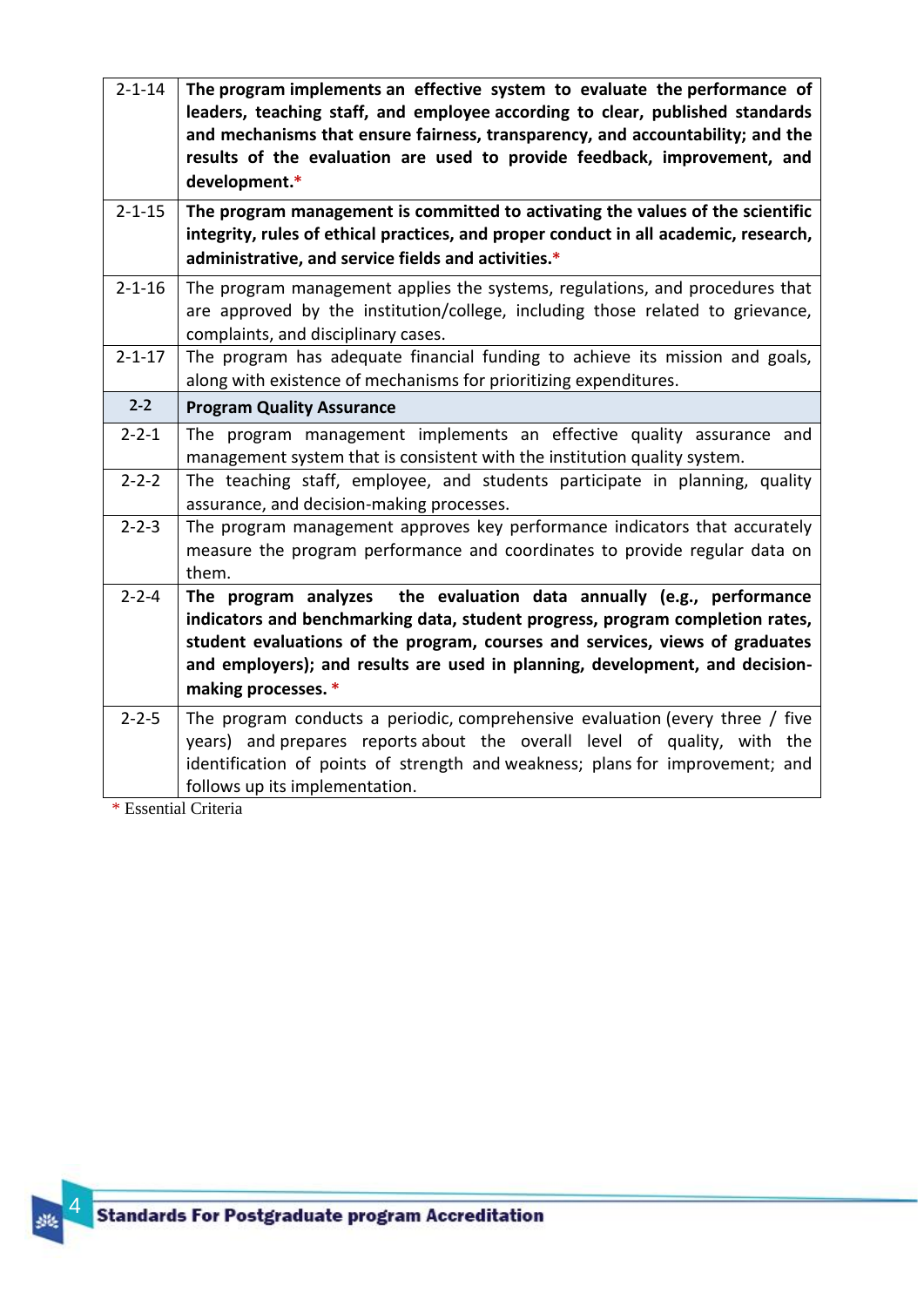| $2 - 1 - 14$ | The program implements an effective system to evaluate the performance of<br>leaders, teaching staff, and employee according to clear, published standards<br>and mechanisms that ensure fairness, transparency, and accountability; and the<br>results of the evaluation are used to provide feedback, improvement, and<br>development.*    |
|--------------|----------------------------------------------------------------------------------------------------------------------------------------------------------------------------------------------------------------------------------------------------------------------------------------------------------------------------------------------|
| $2 - 1 - 15$ | The program management is committed to activating the values of the scientific                                                                                                                                                                                                                                                               |
|              | integrity, rules of ethical practices, and proper conduct in all academic, research,<br>administrative, and service fields and activities.*                                                                                                                                                                                                  |
| $2 - 1 - 16$ | The program management applies the systems, regulations, and procedures that<br>are approved by the institution/college, including those related to grievance,<br>complaints, and disciplinary cases.                                                                                                                                        |
| $2 - 1 - 17$ | The program has adequate financial funding to achieve its mission and goals,<br>along with existence of mechanisms for prioritizing expenditures.                                                                                                                                                                                            |
| $2 - 2$      | <b>Program Quality Assurance</b>                                                                                                                                                                                                                                                                                                             |
| $2 - 2 - 1$  | The program management implements an effective quality assurance and<br>management system that is consistent with the institution quality system.                                                                                                                                                                                            |
| $2 - 2 - 2$  | The teaching staff, employee, and students participate in planning, quality<br>assurance, and decision-making processes.                                                                                                                                                                                                                     |
| $2 - 2 - 3$  | The program management approves key performance indicators that accurately<br>measure the program performance and coordinates to provide regular data on<br>them.                                                                                                                                                                            |
| $2 - 2 - 4$  | The program analyzes the evaluation data annually (e.g., performance<br>indicators and benchmarking data, student progress, program completion rates,<br>student evaluations of the program, courses and services, views of graduates<br>and employers); and results are used in planning, development, and decision-<br>making processes. * |
| $2 - 2 - 5$  | The program conducts a periodic, comprehensive evaluation (every three / five<br>years) and prepares reports about the overall level of quality, with the<br>identification of points of strength and weakness; plans for improvement; and<br>follows up its implementation.                                                                 |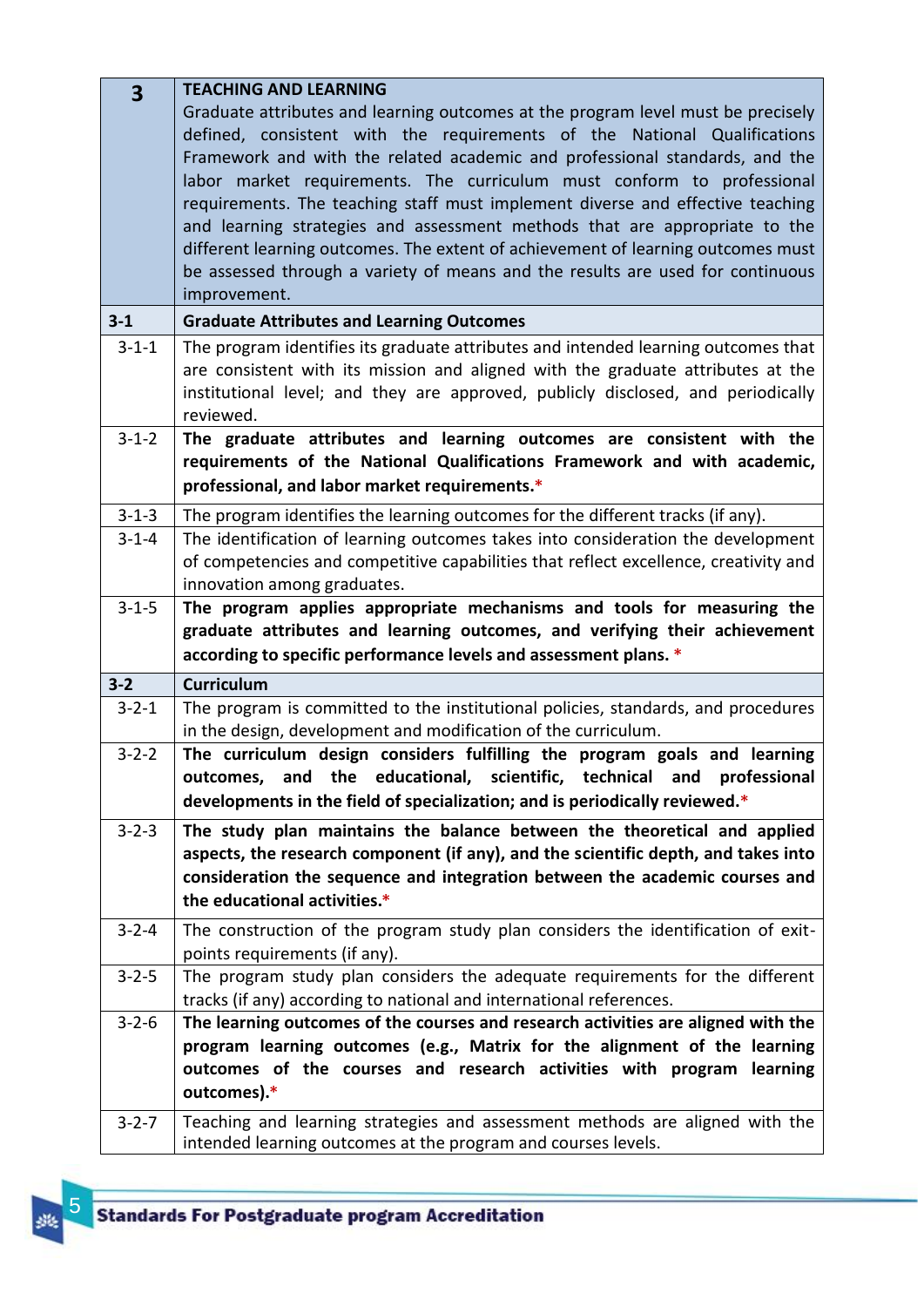| $\overline{\mathbf{3}}$ | <b>TEACHING AND LEARNING</b>                                                         |
|-------------------------|--------------------------------------------------------------------------------------|
|                         | Graduate attributes and learning outcomes at the program level must be precisely     |
|                         | defined, consistent with the requirements of the National Qualifications             |
|                         | Framework and with the related academic and professional standards, and the          |
|                         | labor market requirements. The curriculum must conform to professional               |
|                         | requirements. The teaching staff must implement diverse and effective teaching       |
|                         | and learning strategies and assessment methods that are appropriate to the           |
|                         | different learning outcomes. The extent of achievement of learning outcomes must     |
|                         | be assessed through a variety of means and the results are used for continuous       |
|                         | improvement.                                                                         |
| $3 - 1$                 | <b>Graduate Attributes and Learning Outcomes</b>                                     |
| $3 - 1 - 1$             | The program identifies its graduate attributes and intended learning outcomes that   |
|                         | are consistent with its mission and aligned with the graduate attributes at the      |
|                         | institutional level; and they are approved, publicly disclosed, and periodically     |
|                         | reviewed.                                                                            |
| $3 - 1 - 2$             | The graduate attributes and learning outcomes are consistent with the                |
|                         | requirements of the National Qualifications Framework and with academic,             |
|                         | professional, and labor market requirements.*                                        |
| $3 - 1 - 3$             | The program identifies the learning outcomes for the different tracks (if any).      |
| $3 - 1 - 4$             | The identification of learning outcomes takes into consideration the development     |
|                         | of competencies and competitive capabilities that reflect excellence, creativity and |
|                         | innovation among graduates.                                                          |
| $3 - 1 - 5$             | The program applies appropriate mechanisms and tools for measuring the               |
|                         | graduate attributes and learning outcomes, and verifying their achievement           |
|                         | according to specific performance levels and assessment plans. *                     |
| $3 - 2$                 | <b>Curriculum</b>                                                                    |
| $3 - 2 - 1$             | The program is committed to the institutional policies, standards, and procedures    |
|                         | in the design, development and modification of the curriculum.                       |
| $3 - 2 - 2$             | The curriculum design considers fulfilling the program goals and learning            |
|                         | outcomes, and the educational, scientific, technical and professional                |
|                         | developments in the field of specialization; and is periodically reviewed.*          |
| $3 - 2 - 3$             | The study plan maintains the balance between the theoretical and applied             |
|                         | aspects, the research component (if any), and the scientific depth, and takes into   |
|                         | consideration the sequence and integration between the academic courses and          |
|                         | the educational activities.*                                                         |
| $3 - 2 - 4$             | The construction of the program study plan considers the identification of exit-     |
|                         | points requirements (if any).                                                        |
| $3 - 2 - 5$             | The program study plan considers the adequate requirements for the different         |
|                         | tracks (if any) according to national and international references.                  |
| $3 - 2 - 6$             | The learning outcomes of the courses and research activities are aligned with the    |
|                         | program learning outcomes (e.g., Matrix for the alignment of the learning            |
|                         | outcomes of the courses and research activities with program learning                |
|                         | outcomes).*                                                                          |
| $3 - 2 - 7$             | Teaching and learning strategies and assessment methods are aligned with the         |
|                         | intended learning outcomes at the program and courses levels.                        |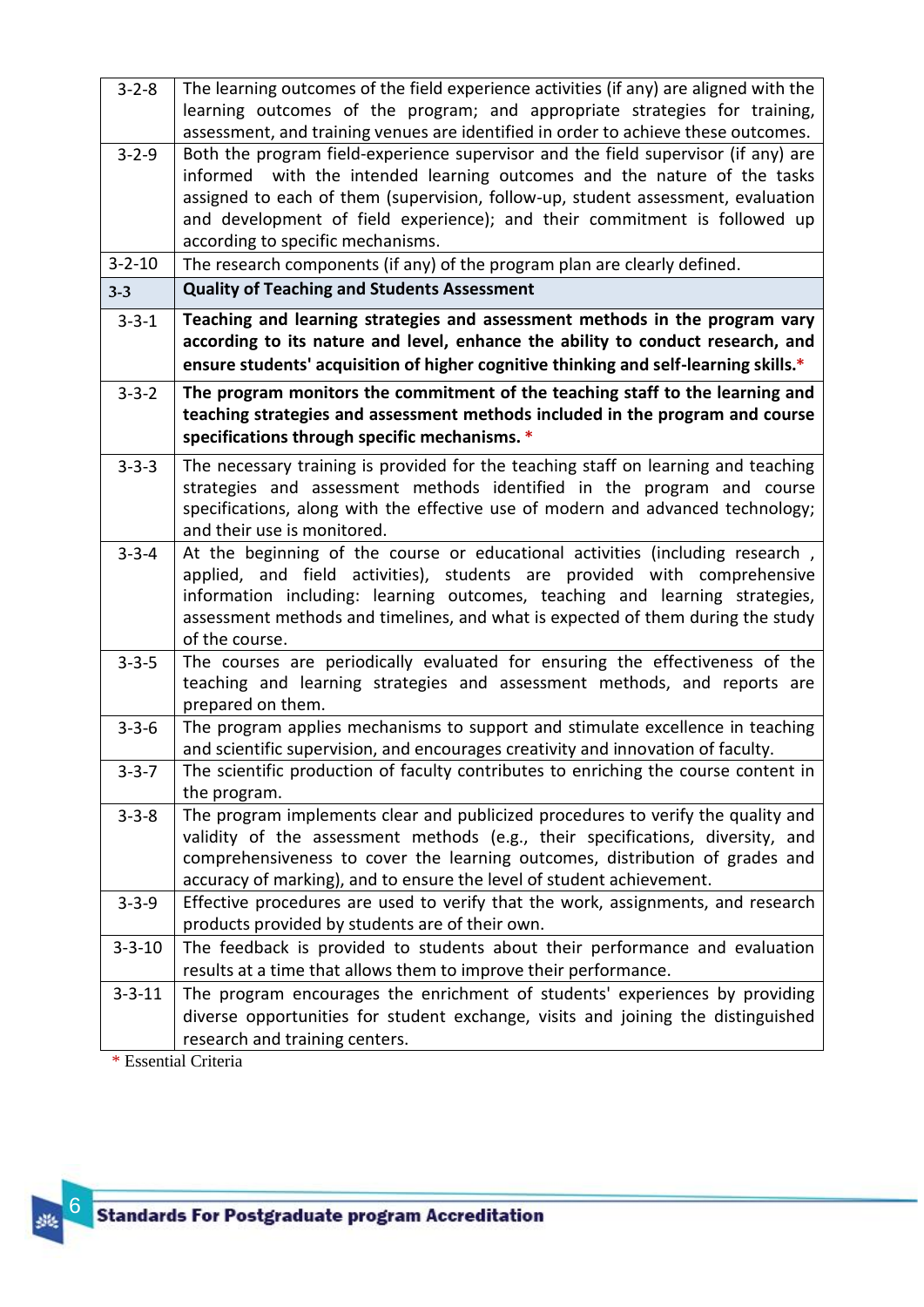| $3 - 2 - 8$  | The learning outcomes of the field experience activities (if any) are aligned with the<br>learning outcomes of the program; and appropriate strategies for training,<br>assessment, and training venues are identified in order to achieve these outcomes.                                                                                                           |
|--------------|----------------------------------------------------------------------------------------------------------------------------------------------------------------------------------------------------------------------------------------------------------------------------------------------------------------------------------------------------------------------|
| $3 - 2 - 9$  | Both the program field-experience supervisor and the field supervisor (if any) are<br>informed with the intended learning outcomes and the nature of the tasks<br>assigned to each of them (supervision, follow-up, student assessment, evaluation<br>and development of field experience); and their commitment is followed up<br>according to specific mechanisms. |
| $3 - 2 - 10$ | The research components (if any) of the program plan are clearly defined.                                                                                                                                                                                                                                                                                            |
| $3 - 3$      | <b>Quality of Teaching and Students Assessment</b>                                                                                                                                                                                                                                                                                                                   |
| $3 - 3 - 1$  | Teaching and learning strategies and assessment methods in the program vary<br>according to its nature and level, enhance the ability to conduct research, and<br>ensure students' acquisition of higher cognitive thinking and self-learning skills.*                                                                                                               |
| $3 - 3 - 2$  | The program monitors the commitment of the teaching staff to the learning and<br>teaching strategies and assessment methods included in the program and course<br>specifications through specific mechanisms. *                                                                                                                                                      |
| $3 - 3 - 3$  | The necessary training is provided for the teaching staff on learning and teaching<br>strategies and assessment methods identified in the program and course<br>specifications, along with the effective use of modern and advanced technology;<br>and their use is monitored.                                                                                       |
| $3 - 3 - 4$  | At the beginning of the course or educational activities (including research,<br>applied, and field activities), students are provided with comprehensive<br>information including: learning outcomes, teaching and learning strategies,<br>assessment methods and timelines, and what is expected of them during the study<br>of the course.                        |
| $3 - 3 - 5$  | The courses are periodically evaluated for ensuring the effectiveness of the<br>teaching and learning strategies and assessment methods, and reports are<br>prepared on them.                                                                                                                                                                                        |
| $3 - 3 - 6$  | The program applies mechanisms to support and stimulate excellence in teaching<br>and scientific supervision, and encourages creativity and innovation of faculty.                                                                                                                                                                                                   |
| $3 - 3 - 7$  | The scientific production of faculty contributes to enriching the course content in<br>the program.                                                                                                                                                                                                                                                                  |
| $3 - 3 - 8$  | The program implements clear and publicized procedures to verify the quality and<br>validity of the assessment methods (e.g., their specifications, diversity, and<br>comprehensiveness to cover the learning outcomes, distribution of grades and<br>accuracy of marking), and to ensure the level of student achievement.                                          |
| $3 - 3 - 9$  | Effective procedures are used to verify that the work, assignments, and research<br>products provided by students are of their own.                                                                                                                                                                                                                                  |
| $3 - 3 - 10$ | The feedback is provided to students about their performance and evaluation<br>results at a time that allows them to improve their performance.                                                                                                                                                                                                                      |
| $3 - 3 - 11$ | The program encourages the enrichment of students' experiences by providing<br>diverse opportunities for student exchange, visits and joining the distinguished<br>research and training centers.                                                                                                                                                                    |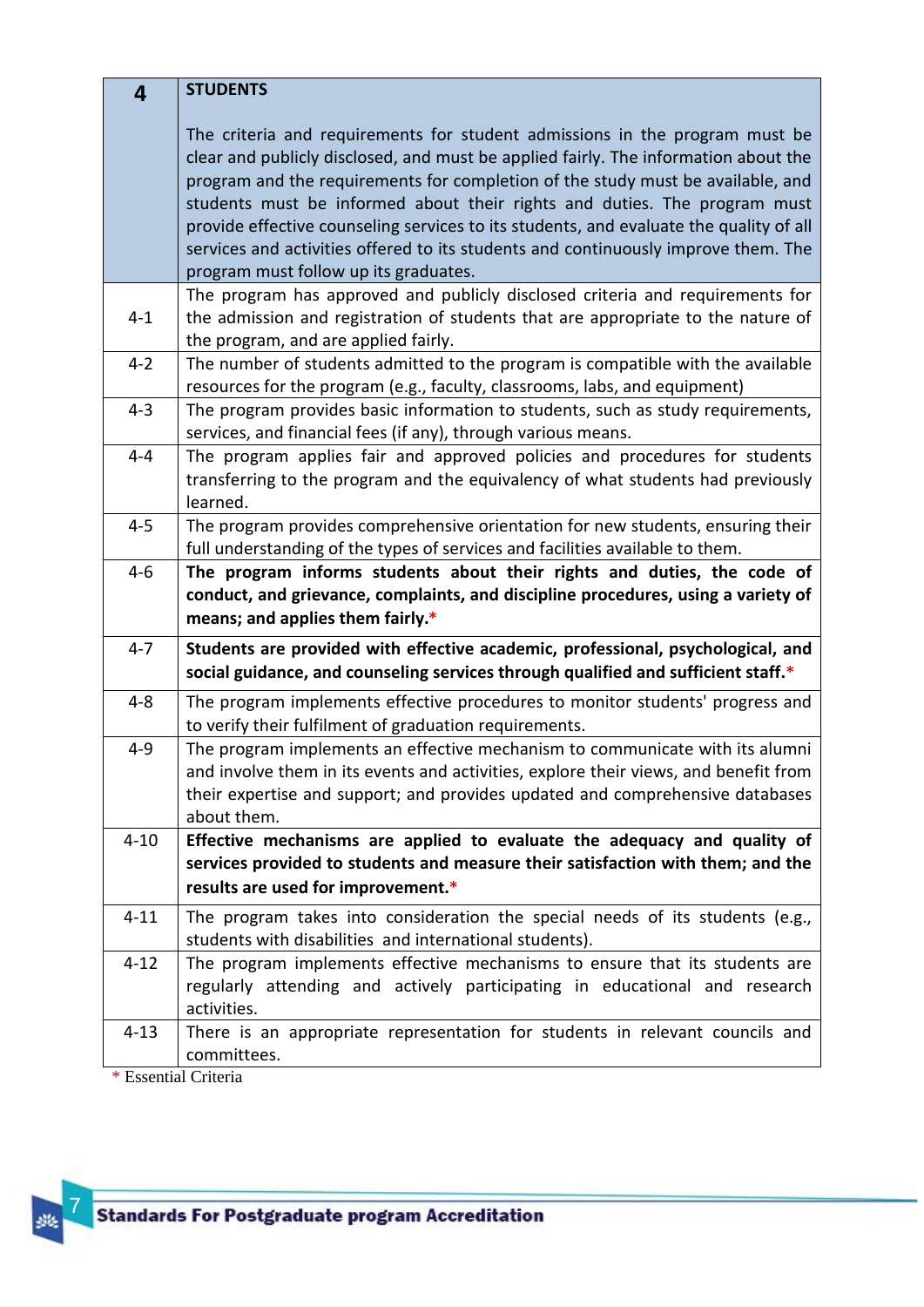| 4        | <b>STUDENTS</b>                                                                                                                                                                                                                                                                                                                                                                                                                                                                                                                                             |
|----------|-------------------------------------------------------------------------------------------------------------------------------------------------------------------------------------------------------------------------------------------------------------------------------------------------------------------------------------------------------------------------------------------------------------------------------------------------------------------------------------------------------------------------------------------------------------|
|          | The criteria and requirements for student admissions in the program must be<br>clear and publicly disclosed, and must be applied fairly. The information about the<br>program and the requirements for completion of the study must be available, and<br>students must be informed about their rights and duties. The program must<br>provide effective counseling services to its students, and evaluate the quality of all<br>services and activities offered to its students and continuously improve them. The<br>program must follow up its graduates. |
| $4 - 1$  | The program has approved and publicly disclosed criteria and requirements for<br>the admission and registration of students that are appropriate to the nature of<br>the program, and are applied fairly.                                                                                                                                                                                                                                                                                                                                                   |
| $4 - 2$  | The number of students admitted to the program is compatible with the available<br>resources for the program (e.g., faculty, classrooms, labs, and equipment)                                                                                                                                                                                                                                                                                                                                                                                               |
| $4 - 3$  | The program provides basic information to students, such as study requirements,<br>services, and financial fees (if any), through various means.                                                                                                                                                                                                                                                                                                                                                                                                            |
| $4 - 4$  | The program applies fair and approved policies and procedures for students<br>transferring to the program and the equivalency of what students had previously<br>learned.                                                                                                                                                                                                                                                                                                                                                                                   |
| $4 - 5$  | The program provides comprehensive orientation for new students, ensuring their<br>full understanding of the types of services and facilities available to them.                                                                                                                                                                                                                                                                                                                                                                                            |
| $4 - 6$  | The program informs students about their rights and duties, the code of<br>conduct, and grievance, complaints, and discipline procedures, using a variety of<br>means; and applies them fairly.*                                                                                                                                                                                                                                                                                                                                                            |
| $4 - 7$  | Students are provided with effective academic, professional, psychological, and<br>social guidance, and counseling services through qualified and sufficient staff.*                                                                                                                                                                                                                                                                                                                                                                                        |
| $4 - 8$  | The program implements effective procedures to monitor students' progress and<br>to verify their fulfilment of graduation requirements.                                                                                                                                                                                                                                                                                                                                                                                                                     |
| $4 - 9$  | The program implements an effective mechanism to communicate with its alumni<br>and involve them in its events and activities, explore their views, and benefit from<br>their expertise and support; and provides updated and comprehensive databases<br>about them.                                                                                                                                                                                                                                                                                        |
| $4 - 10$ | Effective mechanisms are applied to evaluate the adequacy and quality of<br>services provided to students and measure their satisfaction with them; and the<br>results are used for improvement.*                                                                                                                                                                                                                                                                                                                                                           |
| $4 - 11$ | The program takes into consideration the special needs of its students (e.g.,<br>students with disabilities and international students).                                                                                                                                                                                                                                                                                                                                                                                                                    |
| $4 - 12$ | The program implements effective mechanisms to ensure that its students are<br>regularly attending and actively participating in educational and research<br>activities.                                                                                                                                                                                                                                                                                                                                                                                    |
| $4 - 13$ | There is an appropriate representation for students in relevant councils and<br>committees.                                                                                                                                                                                                                                                                                                                                                                                                                                                                 |

路 7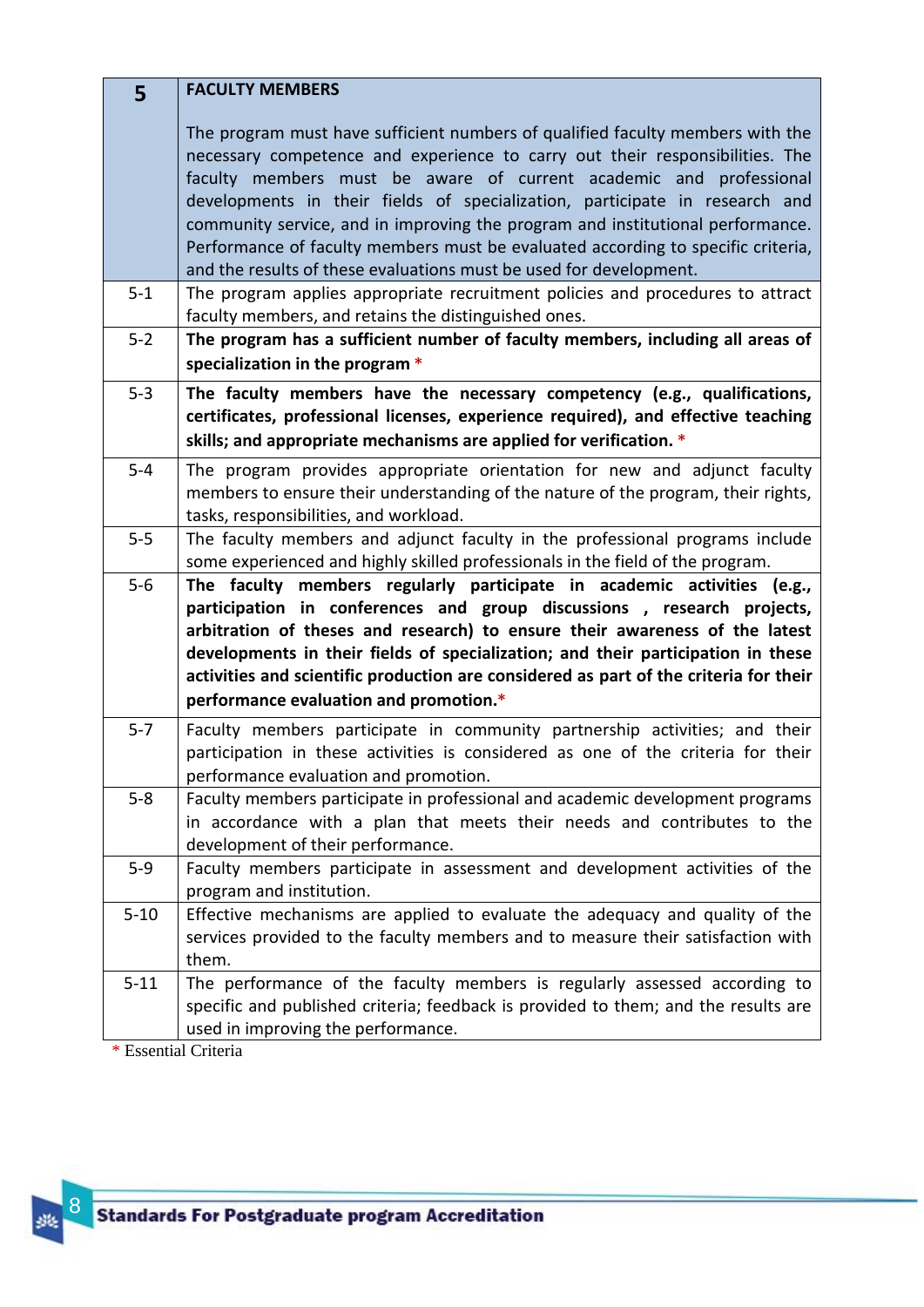| 5        | <b>FACULTY MEMBERS</b>                                                                                                                                                                                                                                                                                                                                                                                                                                                                                                                                                                                                                            |
|----------|---------------------------------------------------------------------------------------------------------------------------------------------------------------------------------------------------------------------------------------------------------------------------------------------------------------------------------------------------------------------------------------------------------------------------------------------------------------------------------------------------------------------------------------------------------------------------------------------------------------------------------------------------|
| $5 - 1$  | The program must have sufficient numbers of qualified faculty members with the<br>necessary competence and experience to carry out their responsibilities. The<br>faculty members must be aware of current academic and professional<br>developments in their fields of specialization, participate in research and<br>community service, and in improving the program and institutional performance.<br>Performance of faculty members must be evaluated according to specific criteria,<br>and the results of these evaluations must be used for development.<br>The program applies appropriate recruitment policies and procedures to attract |
|          | faculty members, and retains the distinguished ones.                                                                                                                                                                                                                                                                                                                                                                                                                                                                                                                                                                                              |
| $5 - 2$  | The program has a sufficient number of faculty members, including all areas of<br>specialization in the program *                                                                                                                                                                                                                                                                                                                                                                                                                                                                                                                                 |
| $5 - 3$  | The faculty members have the necessary competency (e.g., qualifications,<br>certificates, professional licenses, experience required), and effective teaching<br>skills; and appropriate mechanisms are applied for verification. *                                                                                                                                                                                                                                                                                                                                                                                                               |
| $5 - 4$  | The program provides appropriate orientation for new and adjunct faculty<br>members to ensure their understanding of the nature of the program, their rights,<br>tasks, responsibilities, and workload.                                                                                                                                                                                                                                                                                                                                                                                                                                           |
| $5 - 5$  | The faculty members and adjunct faculty in the professional programs include<br>some experienced and highly skilled professionals in the field of the program.                                                                                                                                                                                                                                                                                                                                                                                                                                                                                    |
| $5-6$    | The faculty members regularly participate in academic activities (e.g.,<br>participation in conferences and group discussions, research projects,<br>arbitration of theses and research) to ensure their awareness of the latest<br>developments in their fields of specialization; and their participation in these<br>activities and scientific production are considered as part of the criteria for their<br>performance evaluation and promotion.*                                                                                                                                                                                           |
| $5 - 7$  | Faculty members participate in community partnership activities; and their<br>participation in these activities is considered as one of the criteria for their<br>performance evaluation and promotion.                                                                                                                                                                                                                                                                                                                                                                                                                                           |
| $5 - 8$  | Faculty members participate in professional and academic development programs<br>in accordance with a plan that meets their needs and contributes to the<br>development of their performance.                                                                                                                                                                                                                                                                                                                                                                                                                                                     |
| $5-9$    | Faculty members participate in assessment and development activities of the<br>program and institution.                                                                                                                                                                                                                                                                                                                                                                                                                                                                                                                                           |
| $5 - 10$ | Effective mechanisms are applied to evaluate the adequacy and quality of the<br>services provided to the faculty members and to measure their satisfaction with<br>them.                                                                                                                                                                                                                                                                                                                                                                                                                                                                          |
| $5 - 11$ | The performance of the faculty members is regularly assessed according to<br>specific and published criteria; feedback is provided to them; and the results are<br>used in improving the performance.                                                                                                                                                                                                                                                                                                                                                                                                                                             |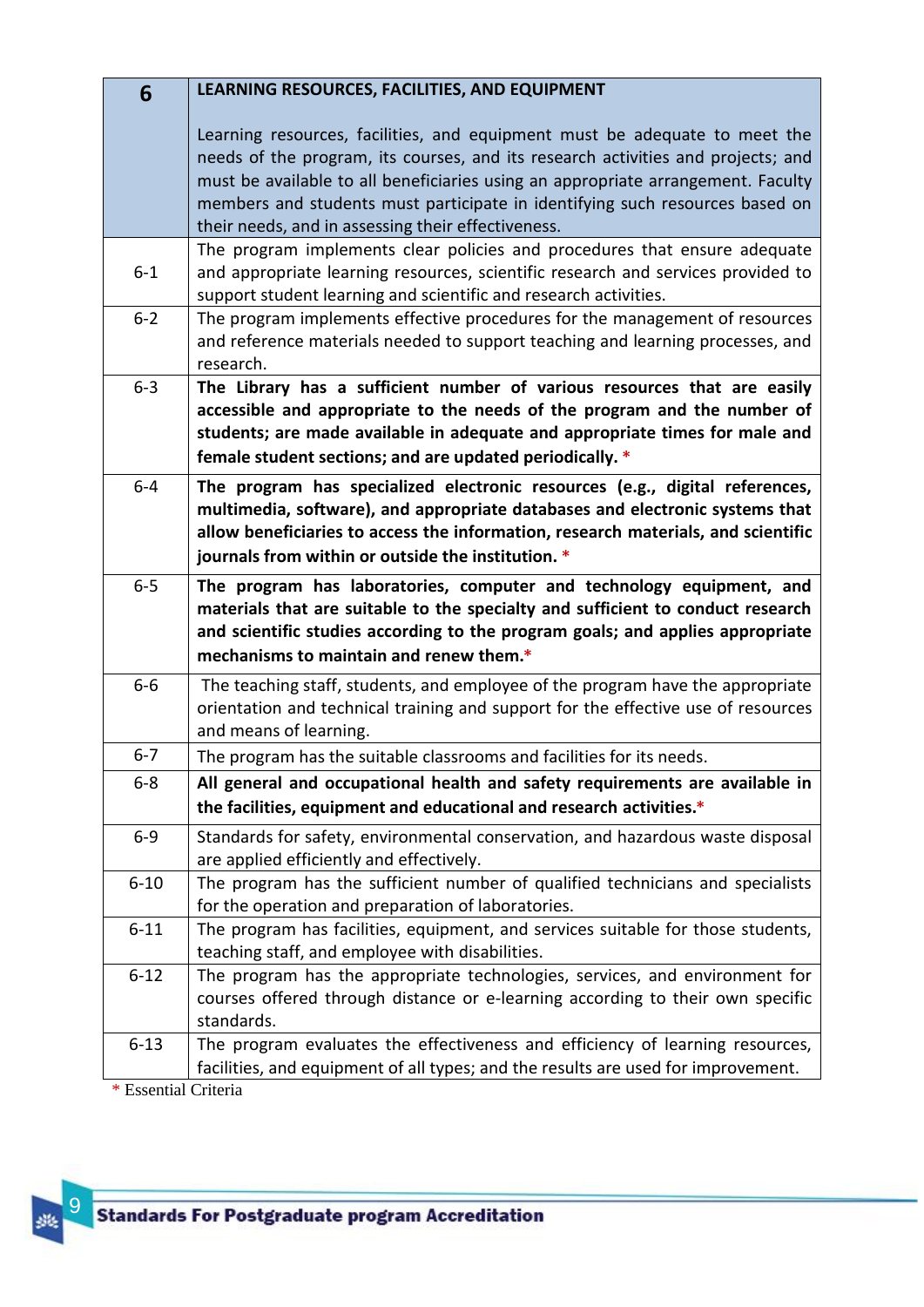| 6        | LEARNING RESOURCES, FACILITIES, AND EQUIPMENT                                                                                                                                                                                                                                                                                                                                            |
|----------|------------------------------------------------------------------------------------------------------------------------------------------------------------------------------------------------------------------------------------------------------------------------------------------------------------------------------------------------------------------------------------------|
|          | Learning resources, facilities, and equipment must be adequate to meet the<br>needs of the program, its courses, and its research activities and projects; and<br>must be available to all beneficiaries using an appropriate arrangement. Faculty<br>members and students must participate in identifying such resources based on<br>their needs, and in assessing their effectiveness. |
| $6 - 1$  | The program implements clear policies and procedures that ensure adequate<br>and appropriate learning resources, scientific research and services provided to<br>support student learning and scientific and research activities.                                                                                                                                                        |
| $6 - 2$  | The program implements effective procedures for the management of resources<br>and reference materials needed to support teaching and learning processes, and<br>research.                                                                                                                                                                                                               |
| $6 - 3$  | The Library has a sufficient number of various resources that are easily<br>accessible and appropriate to the needs of the program and the number of<br>students; are made available in adequate and appropriate times for male and<br>female student sections; and are updated periodically. *                                                                                          |
| $6-4$    | The program has specialized electronic resources (e.g., digital references,<br>multimedia, software), and appropriate databases and electronic systems that<br>allow beneficiaries to access the information, research materials, and scientific<br>journals from within or outside the institution. *                                                                                   |
| $6-5$    | The program has laboratories, computer and technology equipment, and<br>materials that are suitable to the specialty and sufficient to conduct research<br>and scientific studies according to the program goals; and applies appropriate<br>mechanisms to maintain and renew them.*                                                                                                     |
| $6-6$    | The teaching staff, students, and employee of the program have the appropriate<br>orientation and technical training and support for the effective use of resources<br>and means of learning.                                                                                                                                                                                            |
| $6 - 7$  | The program has the suitable classrooms and facilities for its needs.                                                                                                                                                                                                                                                                                                                    |
| $6 - 8$  | All general and occupational health and safety requirements are available in                                                                                                                                                                                                                                                                                                             |
|          | the facilities, equipment and educational and research activities.*                                                                                                                                                                                                                                                                                                                      |
| $6 - 9$  | Standards for safety, environmental conservation, and hazardous waste disposal<br>are applied efficiently and effectively.                                                                                                                                                                                                                                                               |
| $6 - 10$ | The program has the sufficient number of qualified technicians and specialists<br>for the operation and preparation of laboratories.                                                                                                                                                                                                                                                     |
| $6 - 11$ | The program has facilities, equipment, and services suitable for those students,<br>teaching staff, and employee with disabilities.                                                                                                                                                                                                                                                      |
| $6 - 12$ | The program has the appropriate technologies, services, and environment for<br>courses offered through distance or e-learning according to their own specific<br>standards.                                                                                                                                                                                                              |
| $6 - 13$ | The program evaluates the effectiveness and efficiency of learning resources,<br>facilities, and equipment of all types; and the results are used for improvement.                                                                                                                                                                                                                       |